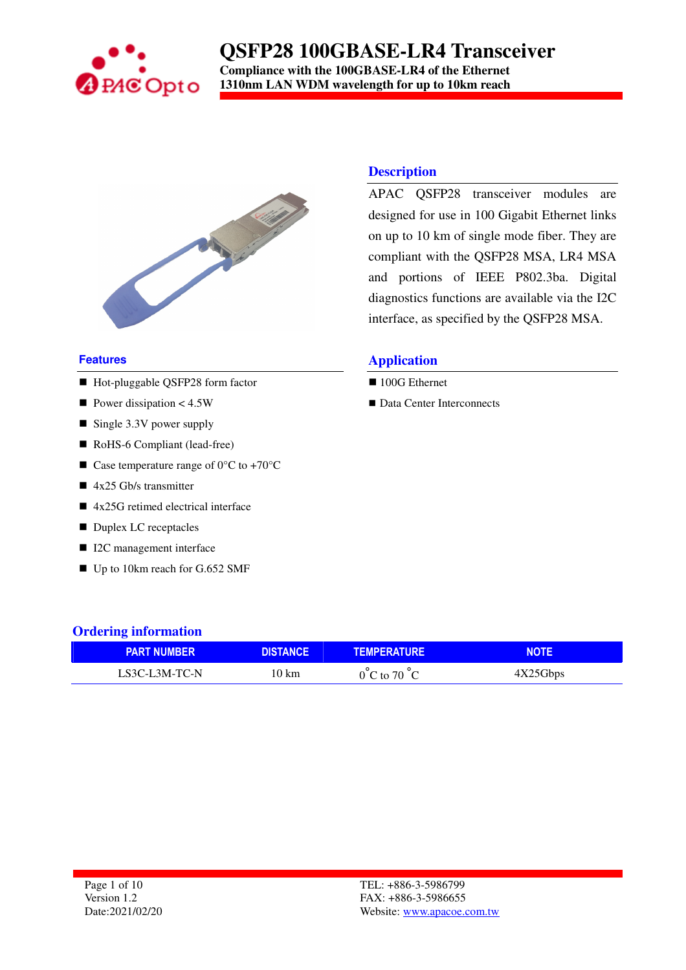

## **QSFP28 100GBASE-LR4 Transceiver Compliance with the 100GBASE-LR4 of the Ethernet**

**1310nm LAN WDM wavelength for up to 10km reach**



#### **Features**

- Hot-pluggable QSFP28 form factor
- Power dissipation  $< 4.5W$
- $\blacksquare$  Single 3.3V power supply
- RoHS-6 Compliant (lead-free)
- Case temperature range of  $0^{\circ}$ C to +70 $^{\circ}$ C
- $\blacksquare$  4x25 Gb/s transmitter
- 4x25G retimed electrical interface
- Duplex LC receptacles
- I2C management interface
- Up to 10km reach for G.652 SMF

#### **Description**

APAC QSFP28 transceiver modules are designed for use in 100 Gigabit Ethernet links on up to 10 km of single mode fiber. They are compliant with the QSFP28 MSA, LR4 MSA and portions of IEEE P802.3ba. Digital diagnostics functions are available via the I2C interface, as specified by the QSFP28 MSA.

### **Application**

- 100G Ethernet
- Data Center Interconnects

#### **Ordering information**

| <b>PART NUMBER</b> | DISTANCF | <b>TEMPERATURE</b>               |          |
|--------------------|----------|----------------------------------|----------|
| LS3C-L3M-TC-N      | 10 km    | $0^{\circ}$ C to 70 $^{\circ}$ C | 4X25Gbps |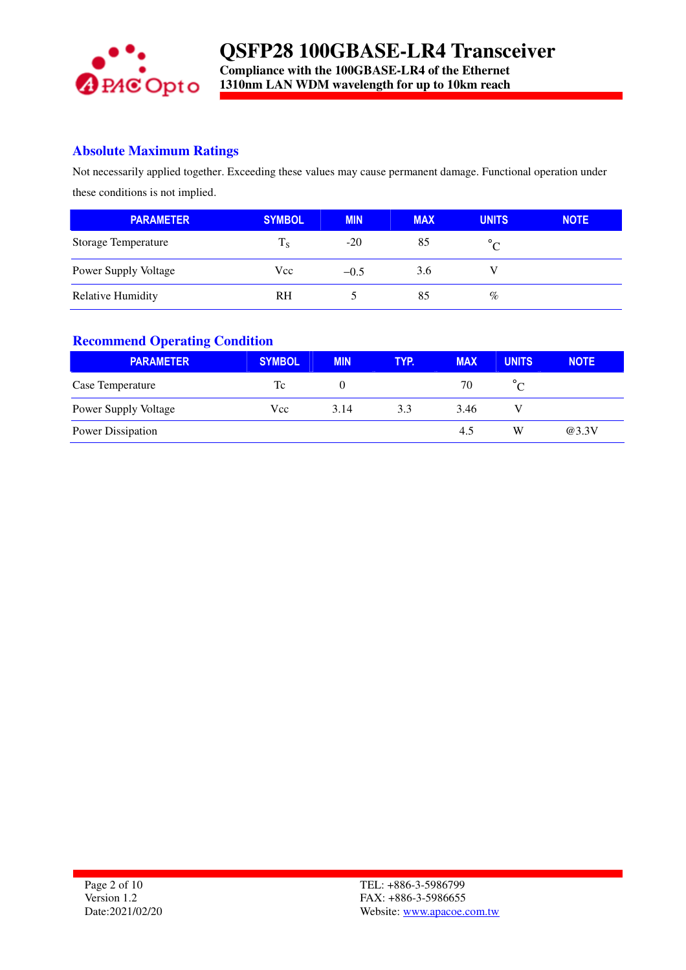

### **Absolute Maximum Ratings**

Not necessarily applied together. Exceeding these values may cause permanent damage. Functional operation under these conditions is not implied.

| <b>PARAMETER</b>            | <b>SYMBOL</b> | <b>MIN</b> | <b>MAX</b> | <b>UNITS</b> | <b>NOTE</b> |
|-----------------------------|---------------|------------|------------|--------------|-------------|
| <b>Storage Temperature</b>  | $T_S$         | $-20$      | 85         |              |             |
| <b>Power Supply Voltage</b> | Vcc           | $-0.5$     | 3.6        |              |             |
| <b>Relative Humidity</b>    | <b>RH</b>     |            | 85         | %            |             |

### **Recommend Operating Condition**

| <b>PARAMETER</b>            | <b>SYMBOL</b> | <b>MIN</b> | TYP. | <b>MAX</b> | <b>UNITS</b> | <b>NOTE</b> |
|-----------------------------|---------------|------------|------|------------|--------------|-------------|
| Case Temperature            | Tc            | $\theta$   |      | 70         |              |             |
| <b>Power Supply Voltage</b> | Vcc           | 3.14       | 3.3  | 3.46       |              |             |
| Power Dissipation           |               |            |      | 4.5        | W            | @3.3V       |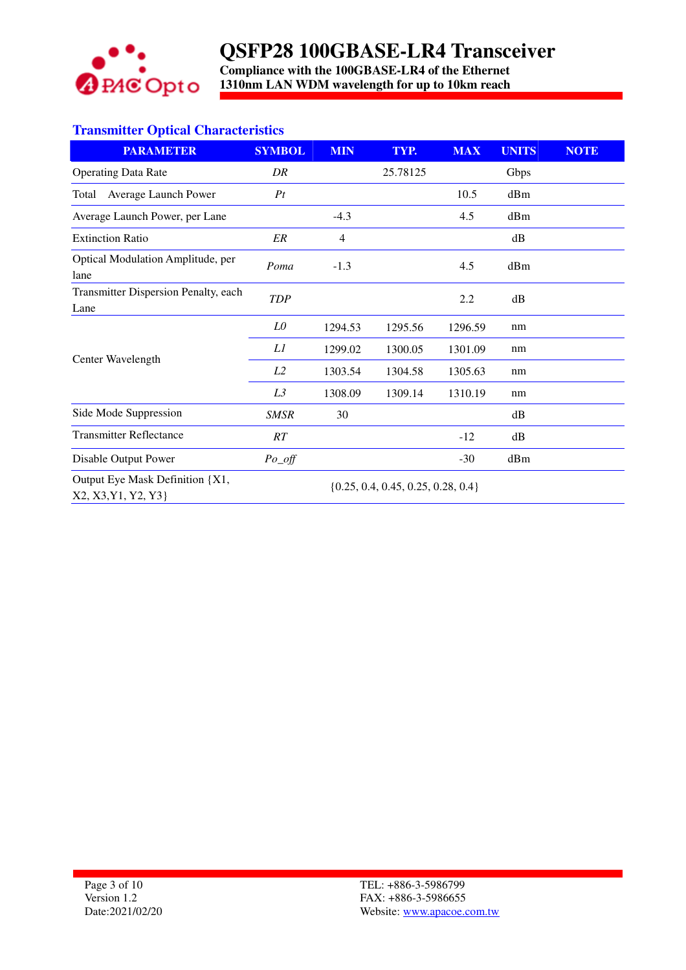

**Compliance with the 100GBASE-LR4 of the Ethernet 1310nm LAN WDM wavelength for up to 10km reach**

### **Transmitter Optical Characteristics**

| <b>PARAMETER</b>                                       | <b>SYMBOL</b>                          | <b>MIN</b>     | TYP.     | <b>MAX</b> | <b>UNITS</b> | <b>NOTE</b> |
|--------------------------------------------------------|----------------------------------------|----------------|----------|------------|--------------|-------------|
| <b>Operating Data Rate</b>                             | DR                                     |                | 25.78125 |            | Gbps         |             |
| Average Launch Power<br>Total                          | Pt                                     |                |          | 10.5       | dBm          |             |
| Average Launch Power, per Lane                         |                                        | $-4.3$         |          | 4.5        | dBm          |             |
| <b>Extinction Ratio</b>                                | ER                                     | $\overline{4}$ |          |            | dB           |             |
| Optical Modulation Amplitude, per<br>lane              | Poma                                   | $-1.3$         |          | 4.5        | dBm          |             |
| Transmitter Dispersion Penalty, each<br>Lane           | <b>TDP</b>                             |                |          | 2.2        | dB           |             |
|                                                        | LO                                     | 1294.53        | 1295.56  | 1296.59    | nm           |             |
|                                                        | L1                                     | 1299.02        | 1300.05  | 1301.09    | nm           |             |
| Center Wavelength                                      | L <sub>2</sub>                         | 1303.54        | 1304.58  | 1305.63    | nm           |             |
|                                                        | L3                                     | 1308.09        | 1309.14  | 1310.19    | nm           |             |
| Side Mode Suppression                                  | <b>SMSR</b>                            | 30             |          |            | dB           |             |
| <b>Transmitter Reflectance</b>                         | RT                                     |                |          | $-12$      | dB           |             |
| Disable Output Power                                   | $Po\_off$                              |                |          | $-30$      | dBm          |             |
| Output Eye Mask Definition {X1,<br>X2, X3, Y1, Y2, Y3} | $\{0.25, 0.4, 0.45, 0.25, 0.28, 0.4\}$ |                |          |            |              |             |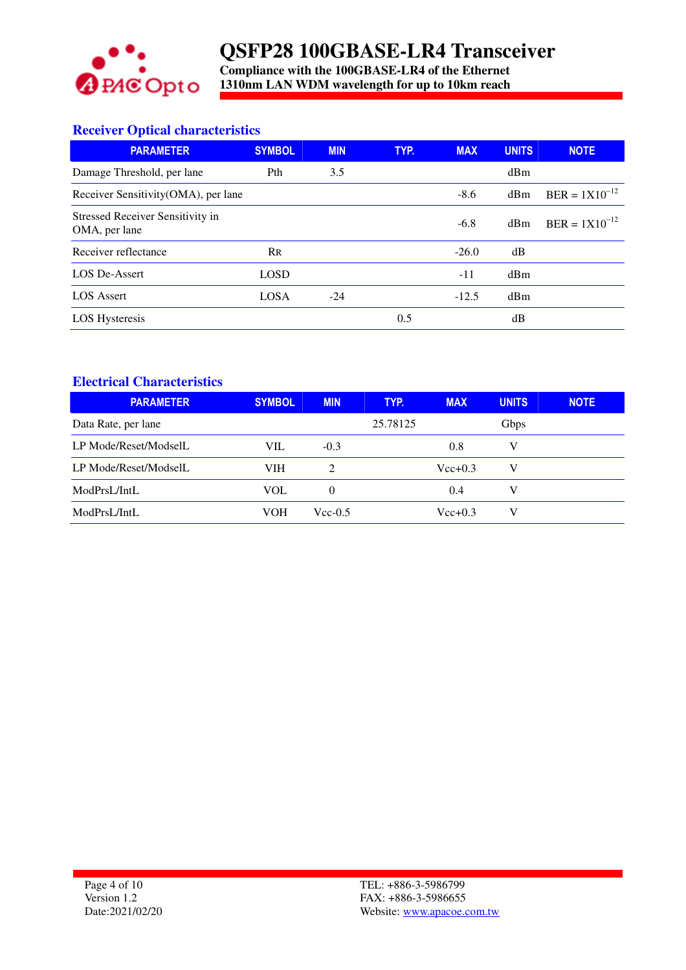

**Compliance with the 100GBASE-LR4 of the Ethernet 1310nm LAN WDM wavelength for up to 10km reach**

## **Receiver Optical characteristics**

| <b>PARAMETER</b>                                         | <b>SYMBOL</b>             | <b>MIN</b> | TYP. | <b>MAX</b> | <b>UNITS</b> | <b>NOTE</b>        |
|----------------------------------------------------------|---------------------------|------------|------|------------|--------------|--------------------|
| Damage Threshold, per lane                               | Pth                       | 3.5        |      |            | dBm          |                    |
| Receiver Sensitivity(OMA), per lane                      |                           |            |      | $-8.6$     | dBm          | $BER = 1X10^{-12}$ |
| <b>Stressed Receiver Sensitivity in</b><br>OMA, per lane |                           |            |      | $-6.8$     | dBm          | $BER = 1X10^{-12}$ |
| Receiver reflectance                                     | $\mathsf{R}_{\mathsf{R}}$ |            |      | $-26.0$    | dB           |                    |
| LOS De-Assert                                            | <b>LOSD</b>               |            |      | $-11$      | dBm          |                    |
| LOS Assert                                               | <b>LOSA</b>               | $-24$      |      | $-12.5$    | dBm          |                    |
| <b>LOS Hysteresis</b>                                    |                           |            | 0.5  |            | dB           |                    |

### **Electrical Characteristics**

| <b>PARAMETER</b>      | <b>SYMBOL</b> | <b>MIN</b>    | TYP.     | <b>MAX</b>  | <b>UNITS</b> | <b>NOTE</b> |
|-----------------------|---------------|---------------|----------|-------------|--------------|-------------|
| Data Rate, per lane   |               |               | 25.78125 |             | <b>Gbps</b>  |             |
| LP Mode/Reset/ModselL | VIL           | $-0.3$        |          | 0.8         | V            |             |
| LP Mode/Reset/ModselL | VIH           | $\mathcal{L}$ |          | $Vec{+}0.3$ | V            |             |
| ModPrsL/IntL          | VOL           | $\theta$      |          | 0.4         | V            |             |
| ModPrsL/IntL          | VOH           | $Vec-0.5$     |          | $Vec{+}0.3$ | V            |             |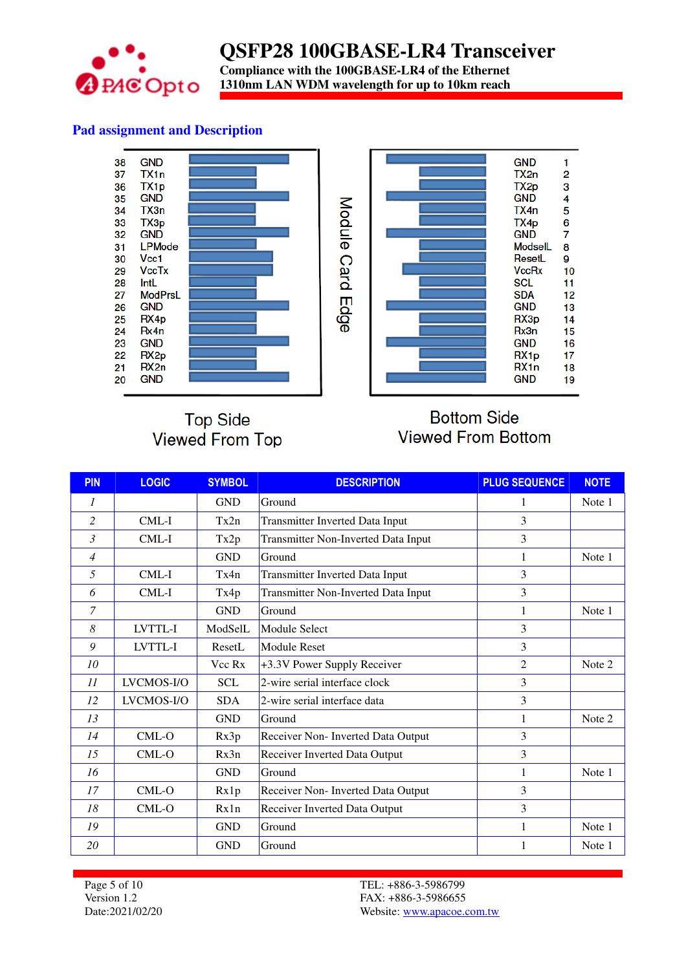

**Compliance with the 100GBASE-LR4 of the Ethernet 1310nm LAN WDM wavelength for up to 10km reach**

## **Pad assignment and Description**





# **Top Side** Viewed From Top

# **Bottom Side Viewed From Bottom**

| <b>PIN</b>     | <b>LOGIC</b> | <b>SYMBOL</b> | <b>DESCRIPTION</b>                         | <b>PLUG SEQUENCE</b> | <b>NOTE</b> |
|----------------|--------------|---------------|--------------------------------------------|----------------------|-------------|
| 1              |              | <b>GND</b>    | Ground                                     | 1                    | Note 1      |
| $\overline{c}$ | CML-I        | Tx2n          | <b>Transmitter Inverted Data Input</b>     | 3                    |             |
| 3              | CML-I        | Tx2p          | Transmitter Non-Inverted Data Input        | 3                    |             |
| $\overline{4}$ |              | <b>GND</b>    | Ground                                     | 1                    | Note 1      |
| 5              | $CML-I$      | Tx4n          | Transmitter Inverted Data Input            | 3                    |             |
| 6              | CML-I        | Tx4p          | <b>Transmitter Non-Inverted Data Input</b> | 3                    |             |
| $\overline{7}$ |              | <b>GND</b>    | Ground                                     | 1                    | Note 1      |
| 8              | LVTTL-I      | ModSelL       | Module Select                              | 3                    |             |
| 9              | LVTTL-I      | ResetL        | <b>Module Reset</b>                        | 3                    |             |
| 10             |              | Vcc Rx        | +3.3V Power Supply Receiver                | $\overline{c}$       | Note 2      |
| 11             | LVCMOS-I/O   | <b>SCL</b>    | 2-wire serial interface clock              | 3                    |             |
| 12             | LVCMOS-I/O   | <b>SDA</b>    | 2-wire serial interface data               | $\overline{3}$       |             |
| 13             |              | <b>GND</b>    | Ground                                     | 1                    | Note 2      |
| 14             | $CML-O$      | Rx3p          | Receiver Non- Inverted Data Output         | 3                    |             |
| 15             | CML-O        | Rx3n          | Receiver Inverted Data Output              | 3                    |             |
| 16             |              | <b>GND</b>    | Ground                                     | 1                    | Note 1      |
| 17             | $CML-O$      | Rx1p          | Receiver Non- Inverted Data Output         | 3                    |             |
| 18             | CML-O        | Rx1n          | Receiver Inverted Data Output              | 3                    |             |
| 19             |              | <b>GND</b>    | Ground                                     | 1                    | Note 1      |
| 20             |              | <b>GND</b>    | Ground                                     |                      | Note 1      |

Page 5 of 10 Version 1.2 Date:2021/02/20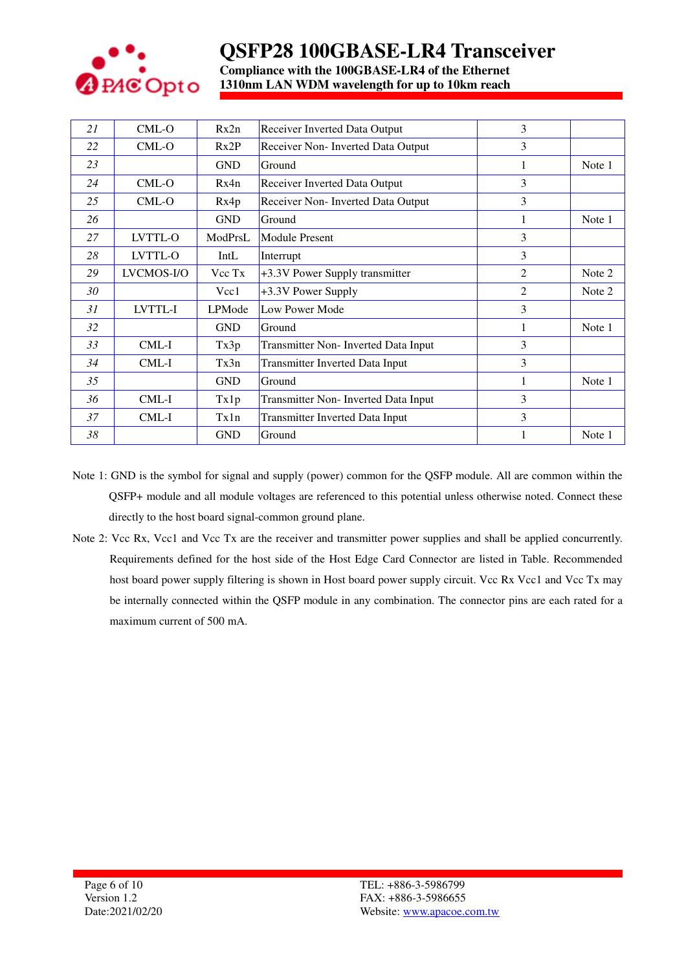

**Compliance with the 100GBASE-LR4 of the Ethernet 1310nm LAN WDM wavelength for up to 10km reach**

| 21 | CML-O      | Rx2n       | Receiver Inverted Data Output          | 3              |        |
|----|------------|------------|----------------------------------------|----------------|--------|
| 22 | CML-O      | Rx2P       | Receiver Non- Inverted Data Output     | 3              |        |
| 23 |            | <b>GND</b> | Ground                                 |                | Note 1 |
| 24 | CML-O      | Rx4n       | <b>Receiver Inverted Data Output</b>   | 3              |        |
| 25 | $CML-O$    | Rx4p       | Receiver Non- Inverted Data Output     | 3              |        |
| 26 |            | <b>GND</b> | Ground                                 |                | Note 1 |
| 27 | LVTTL-O    | ModPrsL    | <b>Module Present</b>                  | 3              |        |
| 28 | LVTTL-O    | IntL       | Interrupt                              | 3              |        |
| 29 | LVCMOS-I/O | Vcc Tx     | +3.3V Power Supply transmitter         | $\overline{c}$ | Note 2 |
| 30 |            | Vcc1       | +3.3V Power Supply                     | $\overline{c}$ | Note 2 |
| 31 | LVTTL-I    | LPMode     | Low Power Mode                         | 3              |        |
| 32 |            | <b>GND</b> | Ground                                 | 1              | Note 1 |
| 33 | CML-I      | Tx3p       | Transmitter Non- Inverted Data Input   | $\overline{3}$ |        |
| 34 | CML-I      | Tx3n       | <b>Transmitter Inverted Data Input</b> | $\overline{3}$ |        |
| 35 |            | <b>GND</b> | Ground                                 | 1              | Note 1 |
| 36 | CML-I      | Tx1p       | Transmitter Non- Inverted Data Input   | 3              |        |
| 37 | CML-I      | Tx1n       | <b>Transmitter Inverted Data Input</b> | 3              |        |
| 38 |            | <b>GND</b> | Ground                                 |                | Note 1 |

- Note 1: GND is the symbol for signal and supply (power) common for the QSFP module. All are common within the QSFP+ module and all module voltages are referenced to this potential unless otherwise noted. Connect these directly to the host board signal-common ground plane.
- Note 2: Vcc Rx, Vcc1 and Vcc Tx are the receiver and transmitter power supplies and shall be applied concurrently. Requirements defined for the host side of the Host Edge Card Connector are listed in Table. Recommended host board power supply filtering is shown in Host board power supply circuit. Vcc Rx Vcc1 and Vcc Tx may be internally connected within the QSFP module in any combination. The connector pins are each rated for a maximum current of 500 mA.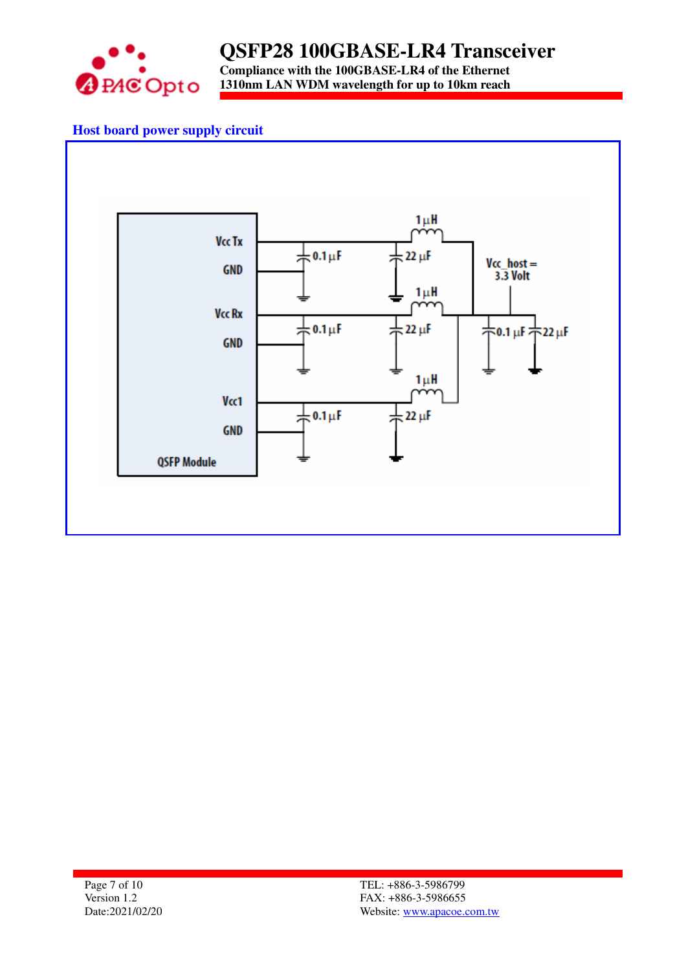

## **QSFP28 100GBASE-LR4 Transceiver Compliance with the 100GBASE-LR4 of the Ethernet**

**1310nm LAN WDM wavelength for up to 10km reach**

## **Host board power supply circuit**

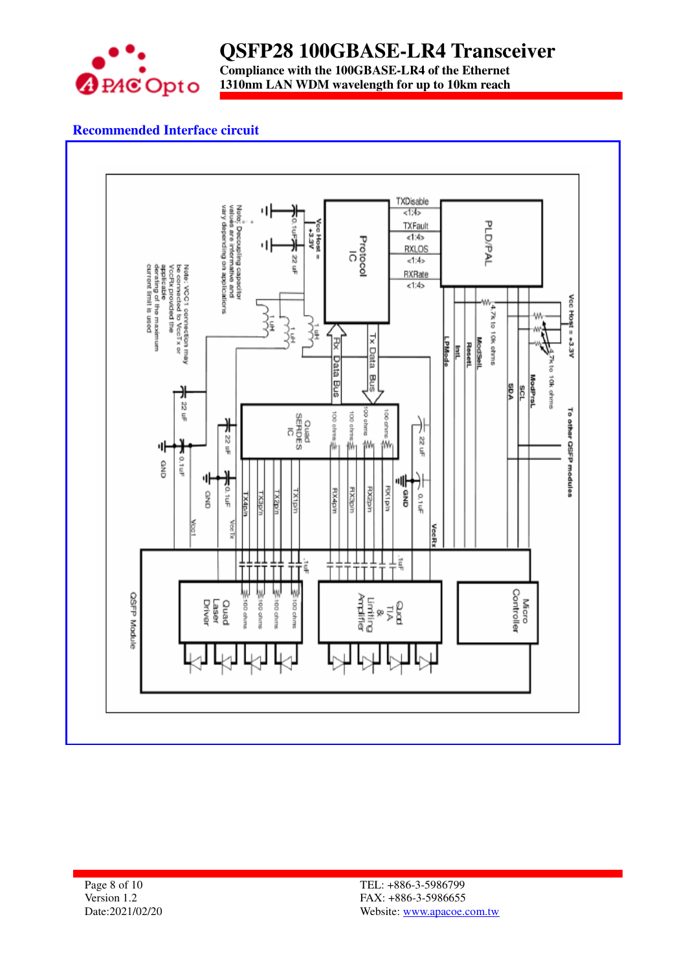

**Compliance with the 100GBASE-LR4 of the Ethernet 1310nm LAN WDM wavelength for up to 10km reach**

### **Recommended Interface circuit**

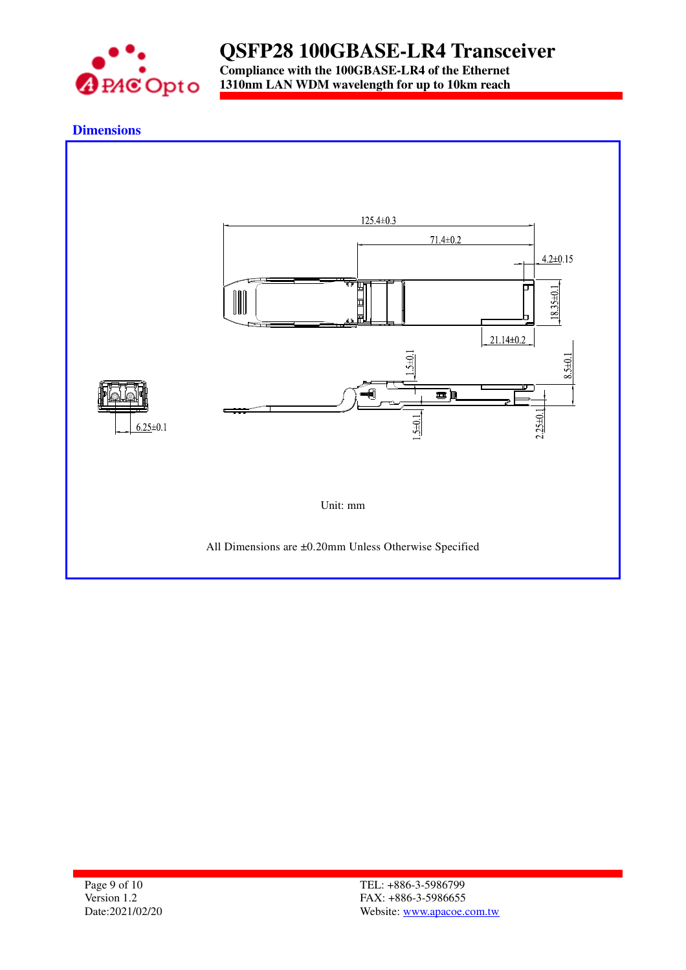

**Compliance with the 100GBASE-LR4 of the Ethernet 1310nm LAN WDM wavelength for up to 10km reach**

### **Dimensions**